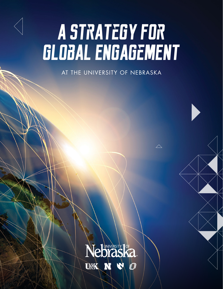# A STRATEGY FOR<br>GLOBAL ENGAGEMENT

AT THE UNIVERSITY OF NEBRASKA

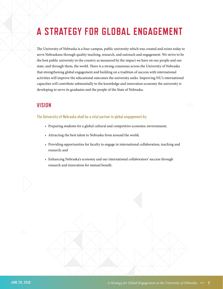# **A STRATEGY FOR GLOBAL ENGAGEMENT**

The University of Nebraska is a four-campus, public university which was created and exists today to serve Nebraskans through quality teaching, research, and outreach and engagement. We strive to be the best public university in the country as measured by the impact we have on our people and our state, and through them, the world. There is a strong consensus across the University of Nebraska that strengthening global engagement and building on a tradition of success with international activities will improve the educational outcomes the university seeks. Improving NU's international capacities will contribute substantially to the knowledge and innovation economy the university is developing to serve its graduates and the people of the State of Nebraska.

## **VISION**

**The University of Nebraska shall be a vital partner in global engagement by:**

- · Preparing students for a global cultural and competitive economic environment;
- · Attracting the best talent to Nebraska from around the world;
- · Providing opportunities for faculty to engage in international collaboration, teaching and research; and
- · Enhancing Nebraska's economy and our international collaborators' success through research and innovation for mutual benefit.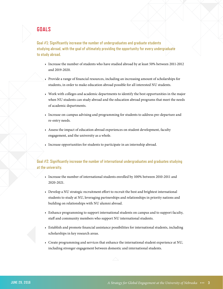## **GOALS**

**Goal #1: Significantly increase the number of undergraduates and graduate students studying abroad, with the goal of ultimately providing the opportunity for every undergraduate to study abroad.**

- · Increase the number of students who have studied abroad by at least 50% between 2011-2012 and 2019-2020.
- · Provide a range of financial resources, including an increasing amount of scholarships for students, in order to make education abroad possible for all interested NU students.
- · Work with colleges and academic departments to identify the best opportunities in the major when NU students can study abroad and the education abroad programs that meet the needs of academic departments.
- · Increase on-campus advising and programming for students to address pre-departure and re-entry needs.
- · Assess the impact of education abroad experiences on student development, faculty engagement, and the university as a whole.
- · Increase opportunities for students to participate in an internship abroad.

#### **Goal #2: Significantly increase the number of international undergraduates and graduates studying at the university.**

- · Increase the number of international students enrolled by 100% between 2010-2011 and 2020-2021.
- · Develop a NU strategic recruitment effort to recruit the best and brightest international students to study at NU, leveraging partnerships and relationships in priority nations and building on relationships with NU alumni abroad.
- · Enhance programming to support international students on campus and to support faculty, staff and community members who support NU international students.
- · Establish and promote financial assistance possibilities for international students, including scholarships in key research areas.
- · Create programming and services that enhance the international student experience at NU, including stronger engagement between domestic and international students.

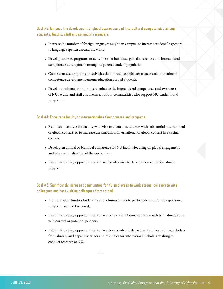**Goal #3: Enhance the development of global awareness and intercultural competencies among students, faculty, staff and community members.**

- · Increase the number of foreign languages taught on campus, to increase students' exposure to languages spoken around the world.
- · Develop courses, programs or activities that introduce global awareness and intercultural competence development among the general student population.
- · Create courses, programs or activities that introduce global awareness and intercultural competence development among education abroad students.
- · Develop seminars or programs to enhance the intercultural competence and awareness of NU faculty and staff and members of our communities who support NU students and programs.

#### **Goal #4: Encourage faculty to internationalize their courses and programs.**

- · Establish incentives for faculty who wish to create new courses with substantial international or global content, or to increase the amount of international or global content in existing courses.
- · Develop an annual or biannual conference for NU faculty focusing on global engagement and internationalization of the curriculum.
- · Establish funding opportunities for faculty who wish to develop new education abroad programs.

#### **Goal #5: Significantly increase opportunities for NU employees to work abroad, collaborate with colleagues and host visiting colleagues from abroad.**

- · Promote opportunities for faculty and administrators to participate in Fulbright-sponsored programs around the world.
- · Establish funding opportunities for faculty to conduct short-term research trips abroad or to visit current or potential partners.
- · Establish funding opportunities for faculty or academic departments to host visiting scholars from abroad, and expand services and resources for international scholars wishing to conduct research at NU.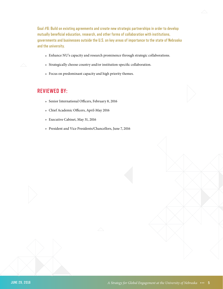**Goal #6: Build on existing agreements and create new strategic partnerships in order to develop mutually beneficial education, research, and other forms of collaboration with institutions, governments and businesses outside the U.S. on key areas of importance to the state of Nebraska and the university.**

- $\star$  Enhance NU's capacity and research prominence through strategic collaborations.
- · Strategically choose country and/or institution-specific collaboration.
- · Focus on predominant capacity and high priority themes.

## **REVIEWED BY:**

- · Senior International Officers, February 8, 2016
- · Chief Academic Officers, April-May 2016
- · Executive Cabinet, May 31, 2016
- · President and Vice Presidents/Chancellors, June 7, 2016